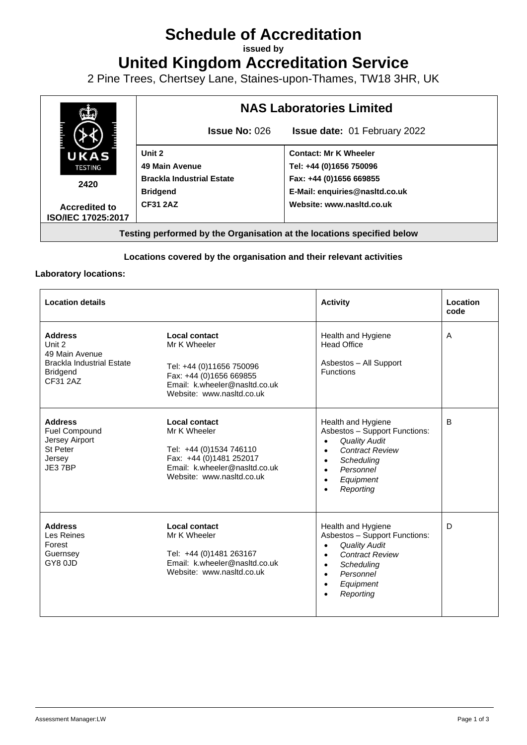# **Schedule of Accreditation**

**issued by**

**United Kingdom Accreditation Service**

2 Pine Trees, Chertsey Lane, Staines-upon-Thames, TW18 3HR, UK



### **Locations covered by the organisation and their relevant activities**

#### **Laboratory locations:**

| <b>Location details</b>                                                                                       |                                                                                                                                                    | <b>Activity</b>                                                                                                                                                                                                                          | Location<br>code |
|---------------------------------------------------------------------------------------------------------------|----------------------------------------------------------------------------------------------------------------------------------------------------|------------------------------------------------------------------------------------------------------------------------------------------------------------------------------------------------------------------------------------------|------------------|
| <b>Address</b><br>Unit 2<br>49 Main Avenue<br><b>Brackla Industrial Estate</b><br><b>Bridgend</b><br>CF31 2AZ | Local contact<br>Mr K Wheeler<br>Tel: +44 (0)11656 750096<br>Fax: +44 (0)1656 669855<br>Email: k.wheeler@nasltd.co.uk<br>Website: www.nasltd.co.uk | Health and Hygiene<br><b>Head Office</b><br>Asbestos - All Support<br><b>Functions</b>                                                                                                                                                   | A                |
| <b>Address</b><br><b>Fuel Compound</b><br>Jersey Airport<br>St Peter<br>Jersey<br>JE37BP                      | Local contact<br>Mr K Wheeler<br>Tel: +44 (0)1534 746110<br>Fax: +44 (0)1481 252017<br>Email: k.wheeler@nasltd.co.uk<br>Website: www.nasltd.co.uk  | Health and Hygiene<br>Asbestos - Support Functions:<br><b>Quality Audit</b><br>$\bullet$<br><b>Contract Review</b><br>$\bullet$<br>Scheduling<br>$\bullet$<br>Personnel<br>$\bullet$<br>Equipment<br>$\bullet$<br>Reporting<br>$\bullet$ | B                |
| <b>Address</b><br>Les Reines<br>Forest<br>Guernsey<br>GY80JD                                                  | Local contact<br>Mr K Wheeler<br>Tel: +44 (0)1481 263167<br>Email: k.wheeler@nasltd.co.uk<br>Website: www.nasitd.co.uk                             | Health and Hygiene<br>Asbestos - Support Functions:<br><b>Quality Audit</b><br>$\bullet$<br><b>Contract Review</b><br>$\bullet$<br>Scheduling<br>$\bullet$<br>Personnel<br>$\bullet$<br>Equipment<br>$\bullet$<br>Reporting<br>$\bullet$ | D                |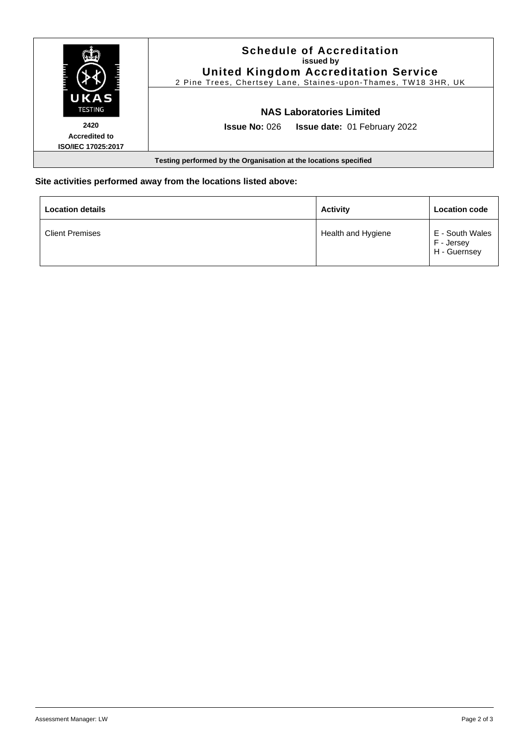| UKAS<br><b>TESTING</b>                                           | <b>Schedule of Accreditation</b><br>issued by<br><b>United Kingdom Accreditation Service</b><br>2 Pine Trees, Chertsey Lane, Staines-upon-Thames, TW18 3HR, UK |  |  |  |
|------------------------------------------------------------------|----------------------------------------------------------------------------------------------------------------------------------------------------------------|--|--|--|
|                                                                  | <b>NAS Laboratories Limited</b>                                                                                                                                |  |  |  |
| 2420<br><b>Accredited to</b><br><b>ISO/IEC 17025:2017</b>        | <b>Issue No: 026</b><br><b>Issue date: 01 February 2022</b>                                                                                                    |  |  |  |
| Testing performed by the Organisation at the locations specified |                                                                                                                                                                |  |  |  |

## **Site activities performed away from the locations listed above:**

| <b>Location details</b> | <b>Activity</b>    | <b>Location code</b>                          |
|-------------------------|--------------------|-----------------------------------------------|
| <b>Client Premises</b>  | Health and Hygiene | E - South Wales<br>F - Jersey<br>H - Guernsey |